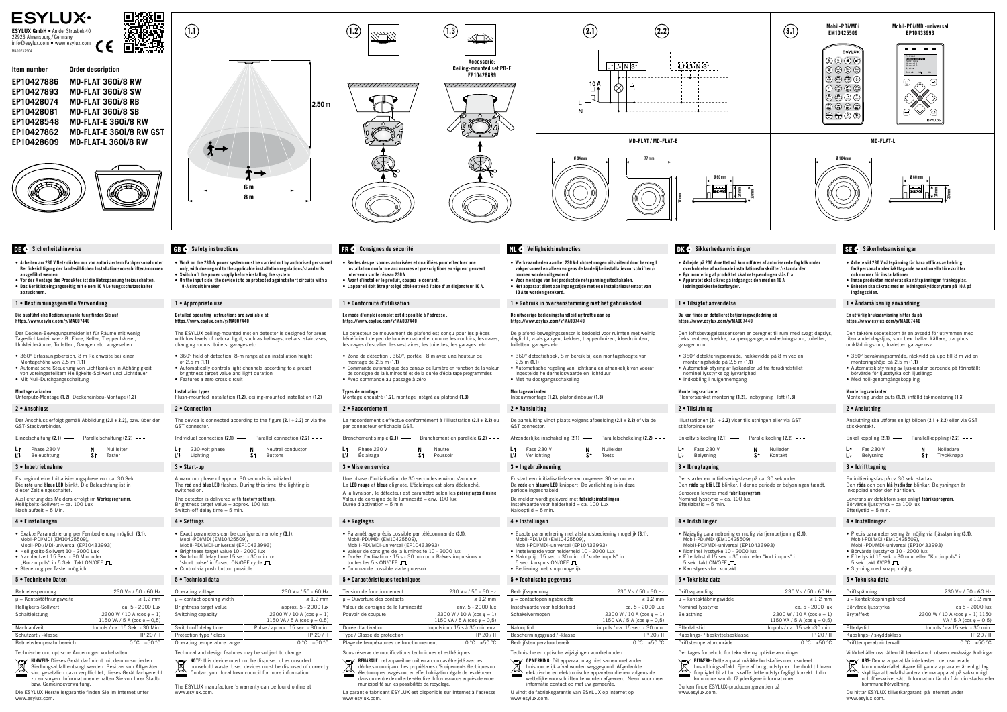- Arbeiten am 230 V Netz dürfen nur von autorisiertem Fachpersonal unter Berücksichtigung der landesüblichen Installationsvorschriften/-normen ausgeführt werden.
- Vor der Montage des Produktes ist die Netzspannung freizuschalten. • Das Gerät ist eingangsseitig mit einem 10 A Leitungsschutzschalter abzusichern.

Der Anschluss erfolgt gemäß Abbildung (2.1 + 2.2), bzw. über den GST-Steckverbinde

## 1 • Bestimmungsgemäße Verwendung

## Die ausführliche Bedienungsanleitung finden Sie auf https://www.esylux.com/y/MA007440

Der Decken-Bewegungsmelder ist für Räume mit wenig Tageslichtanteil wie z.B. Flure, Keller, Treppenhäuser, Umkleideräume, Toiletten, Garagen etc. vorgesehen.

## Betriebsspannung 230 V~ / 50 - 60 Hz  $u =$ Kontaktöffnungsweite  $\leq 1.2$  mm Helligkeits-Sollwert ca. 5 - 2000 Lux Schaltleistung 2300 W / 10 A (cos  $\varphi = 1$ ) 1150 VA / 5 A (cos  $\theta = 0.5$ ) Nachlaufzeit Impuls / ca. 15 Sek. - 30 Min. Schutzart / -klasse IP 20 / II Betriebstemperaturbereich 0 °C...+50 °C

- 360° Erfassungsbereich, 8 m Reichweite bei einer
- Montagehöhe von 2.5 m (11) • Automatische Steuerung von Lichtkanälen in Abhängigkeit
- von voreingestelltem Helligkeits-Sollwert und Lichtdauer Mit Null-Durchgangsschaltung

# Montagevarianten

Unterputz-Montage (1.2), Deckeneinbau-Montage (1.3)

## 2 • Anschluss

 $\boxtimes$ HINWEIS: Dieses Gerät darf nicht mit dem unsortierten Siedlungsabfall entsorgt werden. Besitzer von Altgeräten sind gesetzlich dazu verpflichtet, dieses Gerät fachgerecht zu entsorgen. Informationen erhalten Sie von Ihrer Stadtbzw. Gemeindeverwaltung.

| Einzelschaltung (2.1) | Parallelschaltung $(2.2)$ - -- |
|-----------------------|--------------------------------|
|                       |                                |

| Lt.<br>Phase 230 V<br>-14<br>Beleuchtung | N<br>-St | Nullleiter<br>Taster |
|------------------------------------------|----------|----------------------|
|------------------------------------------|----------|----------------------|

## 3 • Inbetriebnahme

Es beginnt eine Initialisierungsphase von ca. 30 Sek. Die rote und blaue LED blinkt. Die Beleuchtung ist in dieser Zeit eingeschaltet.

- 360° field of detection, 8-m range at an installation height  $of 2.5 m (1.1)$ • Automatically controls light channels according to a preset
- brightness target value and light duration • Features a zero cross circuit
- Installation types Flush-mounted installation (1.2), ceiling-mounted installation (1.3)
- 2 Connection
- The device is connected according to the figure  $(2.1 + 2.2)$  or via the GST connector
- Individual connection  $(2.1)$   $\qquad \qquad$  Parallel connection  $(2.2)$   $\qquad$  -
- L<sup>1</sup> 230-volt phase **N** Neutral conductor<br>L<sup>1</sup> Lighting **S1** Buttons Lighting

Auslieferung des Melders erfolgt im Werksprogramm. Helligkeits-Sollwert = ca. 100 Lux Nachlaufzeit = 5 Min.

## 4 • Einstellungen

• Exakte Parametrierung per Fernbedienung möglich (3.1). Mobil-PDi/MDi (EM10425509), Mobil-PDi/MDi-universal (EP10433993)

- Helligkeits-Sollwert 10 2000 Lux
- Nachlaufzeit 15 Sek. 30 Min. oder "Kurzimpuls" in 5 Sek. Takt ON/OFF
- Steuerung per Taster möglich

## 5 • Technische Daten

- 4 Settings
- Exact parameters can be configured remotely (3.1). Mobil-PDi/MDi (EM10425509), Mobil-PDi/MDi-universal (EP10433993)
- Brightness target value 10 2000 lux
- Switch-off delay time 15 sec. 30 min. or<br>"short pulse" in 5-sec. ON/OFF cycle  $\blacksquare$
- Control via push button possible

Technische und optische Änderungen vorbehalten.

- **NOTE:** this device must not be disposed of as unsorted<br>Note must not be disposed of as unsorted<br>Note is used devices must be disposed of household waste. Used devices must be disposed of correctly.
- Contact your local town council for more information.

Die ESYLUX Herstellergarantie finden Sie im Internet unter www.esylux.com.

• Work on the 230-V power system must be carried out by authorised personnel only, with due regard to the applicable installation regulations/standards. • Switch off the power supply before installing the system. • On the input side, the device is to be protected against short circuits with a

10-A circuit breaker.

# 1 • Appropriate use

### Detailed operating instructions are available at https://www.esylux.com/y/MA007440

The ESYLUX ceiling-mounted motion detector is designed for areas with low levels of natural light, such as hallways, cellars, staircases, changing rooms, toilets, garages etc.

- Paramétrage précis possible par télécommande (3.1). Mobil-PDi/MDi (EM10425509), Mobil-PDi/MDi-universal (EP10433993)
- Valeur de consigne de la luminosité 10 2000 lux
- Durée d'activation : 15 s 30 min ou « Brèves impulsions » toutes les 5 s ON/OFF.  $\Pi$
- Commande possible via le pouss

## 3 • Start-up

A warm-up phase of approx. 30 seconds is initiated. The red and blue LED flashes. During this time, the lighting is switched on The detector is delivered with factory settings. Brightness target value = approx. 100 lux

Switch-off delay time = 5 min.

- 360° detectiehoek, 8 m bereik bij een montagehoogte van  $2.5$  m  $(1.1)$
- Automatische regeling van lichtkanalen afhankelijk van vooraf ingestelde helderheidswaarde en lichtduur
- Met nuldoorgangsschakeling

## 5 • Technical data

Instelwaarde voor helderheid = ca. 100 Lux  $N$ alooptiid = 5 min.

| Operating voltage             | 230 V ~ / 50 - 60 Hz                                                     |
|-------------------------------|--------------------------------------------------------------------------|
| $\mu$ = contact opening width | $\leq 1.2$ mm                                                            |
| Brightness target value       | approx. 5 - 2000 lux                                                     |
| Switching capacity            | $2300 W / 10 A (cos \phi = 1)$<br>1150 VA / 5 A ( $\cos \varphi = 0.5$ ) |
| Switch-off delay time         | Pulse / approx. 15 sec. - 30 min.                                        |
| Protection type / class       | IP 20 / II                                                               |
| Operating temperature range   | $0 °C + 50 °C$                                                           |

Technical and design features may be subject to change.

The ESYLUX manufacturer's warranty can be found online at www.esylux.com.

- Seules des personnes autorisées et qualifiées pour effectuer une installation conforme aux normes et prescriptions en vigueur peuvent intervenir sur le réseau 230 V.
- Avant d'installer le produit, coupez le courant. • L'appareil doit être protégé côté entrée à l'aide d'un disjoncteur 10 A.

## 1 • Conformité d'utilisation

## Le mode d'emploi complet est disponible à l'adresse : https://www.esylux.com/y/MA007440

Le détecteur de mouvement de plafond est conçu pour les pièces bénéficiant de peu de lumière naturelle, comme les couloirs, les caves, les cages d'escalier, les vestiaires, les toilettes, les garages, etc.

- Zone de détection : 360°, portée : 8 m avec une hauteur de montage de 2,5 m (1.1)
- Commande automatique des canaux de lumière en fonction de la valeur
- de consigne de la luminosité et de la durée d'éclairage programmées • Avec commande au passage à zéro
- Types de montage
- Montage encastré (1.2), montage intégré au plafond (1.3)

## 2 • Raccordement

Le raccordement s'effectue conformément à l'illustration (2.1 + 2.2) ou par connecteur enfichable GST.

|     | Branchement simple (2.1) - |    | Branchement en parallèle (2.2) |
|-----|----------------------------|----|--------------------------------|
| Lt. | Phase 230 V                | N  | <b>Neutre</b>                  |
| -14 | Éclairage                  | S÷ | Poussoir                       |

# 3 • Mise en service

Une phase d'initialisation de 30 secondes environ s'amorce. La LED rouge et bleue clignote. L'éclairage est alors déclenché. À la livraison, le détecteur est paramétré selon les préréglages d'usine Valeur de consigne de la luminosité = env. 100 lux Durée d'activation = 5 min

## 4 • Réglages

# 5 • Caractéristiques techniques

| Tension de fonctionnement               | 230 V ~ / 50 - 60 Hz                                                     |
|-----------------------------------------|--------------------------------------------------------------------------|
| $\mu$ = Ouverture des contacts          | $\leq 1.2$ mm                                                            |
| Valeur de consigne de la luminosité     | env. 5 - 2000 lux                                                        |
| Pouvoir de coupure                      | $2300 W / 10 A (cos \phi = 1)$<br>1150 VA / 5 A ( $\cos \varphi = 0.5$ ) |
| Durée d'activation                      | Impulsion / 15 s à 30 min env.                                           |
| Type / Classe de protection             | IP 20 / II                                                               |
| Plage de températures de fonctionnement | $0^{\circ}$ C+50 $^{\circ}$ C                                            |
|                                         |                                                                          |



- Sous réserve de modifications techniques et esthétiques.
- REMARQUE : cet appareil ne doit en aucun cas être jeté avec les déchets municipaux. Les propriétaires d'équipements électriques ou électroniques usagés ont en effet l'obligation légale de les déposer dans un centre de collecte sélective. Informez-vous auprès de votre
- municipalité sur les possibilités de recyclage. La garantie fabricant ESYLUX est disponible sur Internet à l'adresse
- www.esylux.com.

- Werkzaamheden aan het 230 V-lichtnet mogen uitsluitend door bevoegd vakpersoneel en alleen volgens de landelijke installatievoorschriften/ normen worden uitgevoerd.
- Voor montage van het product de netspanning uitschakelen. • Het apparaat dient aan ingangszijde met een installatieautomaat van 10 A te worden gezekerd.

## 1 • Gebruik in overeenstemming met het gebruiksdoel

### De uitvoerige bedieningshandleiding treft u aan op https://www.esylux.com/y/MA007440

De plafond-bewegingssensor is bedoeld voor ruimten met weinig daglicht, zoals gangen, kelders, trappenhuizen, kleedruimten, toiletten, garages etc.

## Montagevarianten Inbouwmontage (1.2), plafondinbouw (1.3)

| 2 • Aansluiting                                                                          |  |
|------------------------------------------------------------------------------------------|--|
| De aansluiting vindt plaats volgens afbeelding $(2.1 + 2.2)$ of via de<br>GST connector. |  |
| Afzonderlijke inschakeling (2.1) ——<br>Parallelschakeling $(2.2)$ - - -                  |  |

| Lt. | Fase 230 V  | Ν  | Nulleider |  |
|-----|-------------|----|-----------|--|
| Ľł  | Verlichting | S* | Toets     |  |
|     |             |    |           |  |

# 3 • Ingebruikneming

Er start een initialisatiefase van ongeveer 30 seconden. De rode en blauwe LED knippert. De verlichting is in deze periode ingeschakeld. De melder wordt geleverd met fabrieksinstellingen.

4 • Instellingen

Mobil-PDi/MDi (EM10425509),

• Bediening met knop mogelijk 5 • Technische gegevens

> elektrische en elektronische apparaten dienen volgens de wettelijke voorschriften te worden afgevoerd. Neem voor meer

informatie contact op met uw gemeente. U vindt de fabrieksgarantie van ESYLUX op internet op

www.esylux.com.

forpligtet til at bortskaffe dette udstyr fagligt korrekt. I din kommune kan du få yderligere informationer.

Du kan finde ESYLUX-producentgarantien på

www.esylux.com.

skyldiga att avfallshantera denna apparat på sakkunnigt och föreskrivet sätt. Information får du från din stads- eller



kommunalförvaltning.

Du hittar ESYLUX tillverkargaranti på internet under www.esylux.com.